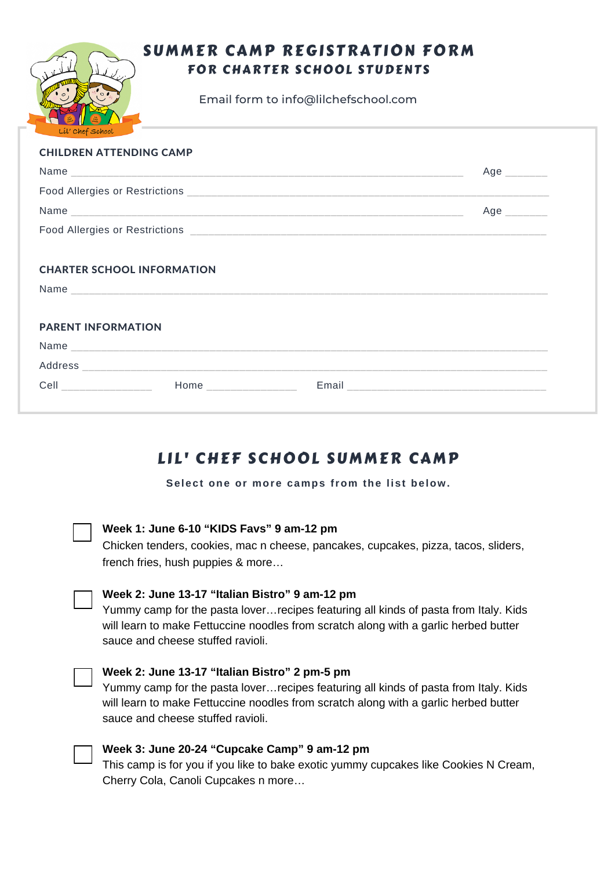# SUMMER CAMP REGISTRATION FORM FOR CHARTER SCHOOL STUDENTS

Email form to info@lilchefschool.com

| Lil' Chef School               |                                   |              |
|--------------------------------|-----------------------------------|--------------|
| <b>CHILDREN ATTENDING CAMP</b> |                                   |              |
|                                |                                   | Age          |
|                                |                                   |              |
|                                |                                   | Age ________ |
|                                |                                   |              |
|                                | <b>CHARTER SCHOOL INFORMATION</b> |              |
|                                |                                   |              |
|                                |                                   |              |
| <b>PARENT INFORMATION</b>      |                                   |              |
|                                |                                   |              |
|                                |                                   |              |
|                                |                                   |              |

# LIL' CHEF SCHOOL SUMMER CAMP

**Select one or more camps from the list below.**



### **Week 1: June 6-10 "KIDS Favs" 9 am-12 pm**

Chicken tenders, cookies, mac n cheese, pancakes, cupcakes, pizza, tacos, sliders, french fries, hush puppies & more…

### **Week 2: June 13-17 "Italian Bistro" 9 am-12 pm**

Yummy camp for the pasta lover…recipes featuring all kinds of pasta from Italy. Kids will learn to make Fettuccine noodles from scratch along with a garlic herbed butter sauce and cheese stuffed ravioli.

### **Week 2: June 13-17 "Italian Bistro" 2 pm-5 pm**

Yummy camp for the pasta lover…recipes featuring all kinds of pasta from Italy. Kids will learn to make Fettuccine noodles from scratch along with a garlic herbed butter sauce and cheese stuffed ravioli.



### **Week 3: June 20-24 "Cupcake Camp" 9 am-12 pm**

This camp is for you if you like to bake exotic yummy cupcakes like Cookies N Cream, Cherry Cola, Canoli Cupcakes n more…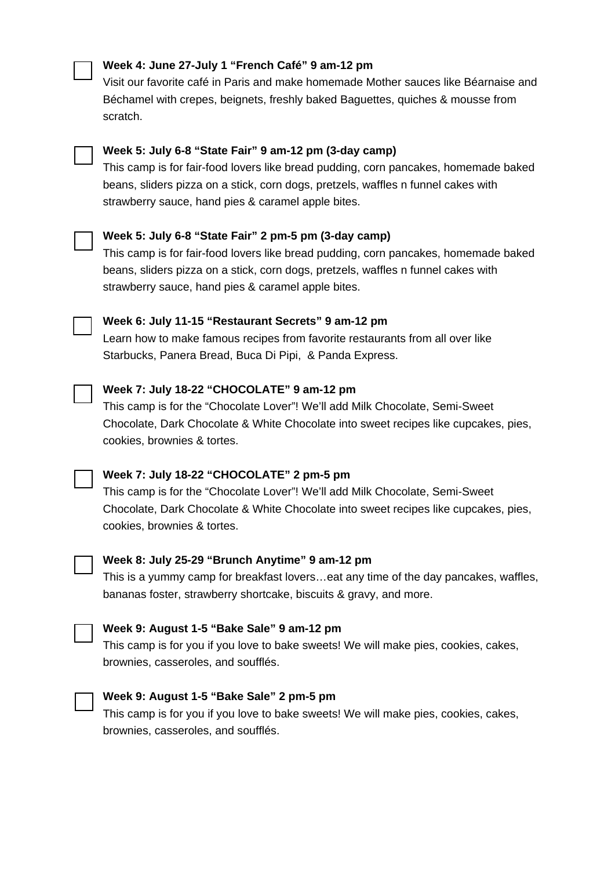### **Week 4: June 27-July 1 "French Café" 9 am-12 pm**

Visit our favorite café in Paris and make homemade Mother sauces like Béarnaise and Béchamel with crepes, beignets, freshly baked Baguettes, quiches & mousse from scratch.



# **Week 5: July 6-8 "State Fair" 9 am-12 pm (3-day camp)**

This camp is for fair-food lovers like bread pudding, corn pancakes, homemade baked beans, sliders pizza on a stick, corn dogs, pretzels, waffles n funnel cakes with strawberry sauce, hand pies & caramel apple bites.



# **Week 5: July 6-8 "State Fair" 2 pm-5 pm (3-day camp)**

This camp is for fair-food lovers like bread pudding, corn pancakes, homemade baked beans, sliders pizza on a stick, corn dogs, pretzels, waffles n funnel cakes with strawberry sauce, hand pies & caramel apple bites.



## **Week 6: July 11-15 "Restaurant Secrets" 9 am-12 pm**

Learn how to make famous recipes from favorite restaurants from all over like Starbucks, Panera Bread, Buca Di Pipi, & Panda Express.

### **Week 7: July 18-22 "CHOCOLATE" 9 am-12 pm**

This camp is for the "Chocolate Lover"! We'll add Milk Chocolate, Semi-Sweet Chocolate, Dark Chocolate & White Chocolate into sweet recipes like cupcakes, pies, cookies, brownies & tortes.

# **Week 7: July 18-22 "CHOCOLATE" 2 pm-5 pm**

This camp is for the "Chocolate Lover"! We'll add Milk Chocolate, Semi-Sweet Chocolate, Dark Chocolate & White Chocolate into sweet recipes like cupcakes, pies, cookies, brownies & tortes.

### **Week 8: July 25-29 "Brunch Anytime" 9 am-12 pm**

This is a yummy camp for breakfast lovers…eat any time of the day pancakes, waffles, bananas foster, strawberry shortcake, biscuits & gravy, and more.



This camp is for you if you love to bake sweets! We will make pies, cookies, cakes, brownies, casseroles, and soufflés.



### **Week 9: August 1-5 "Bake Sale" 2 pm-5 pm**

This camp is for you if you love to bake sweets! We will make pies, cookies, cakes, brownies, casseroles, and soufflés.